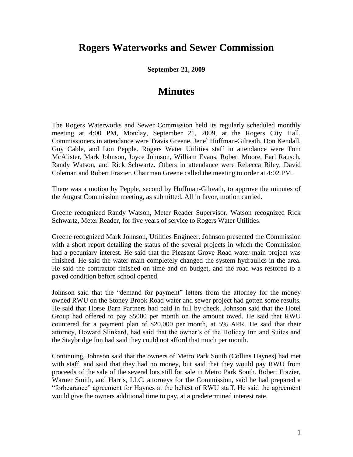## **Rogers Waterworks and Sewer Commission**

**September 21, 2009**

## **Minutes**

The Rogers Waterworks and Sewer Commission held its regularly scheduled monthly meeting at 4:00 PM, Monday, September 21, 2009, at the Rogers City Hall. Commissioners in attendance were Travis Greene, Jene` Huffman-Gilreath, Don Kendall, Guy Cable, and Lon Pepple. Rogers Water Utilities staff in attendance were Tom McAlister, Mark Johnson, Joyce Johnson, William Evans, Robert Moore, Earl Rausch, Randy Watson, and Rick Schwartz. Others in attendance were Rebecca Riley, David Coleman and Robert Frazier. Chairman Greene called the meeting to order at 4:02 PM.

There was a motion by Pepple, second by Huffman-Gilreath, to approve the minutes of the August Commission meeting, as submitted. All in favor, motion carried.

Greene recognized Randy Watson, Meter Reader Supervisor. Watson recognized Rick Schwartz, Meter Reader, for five years of service to Rogers Water Utilities.

Greene recognized Mark Johnson, Utilities Engineer. Johnson presented the Commission with a short report detailing the status of the several projects in which the Commission had a pecuniary interest. He said that the Pleasant Grove Road water main project was finished. He said the water main completely changed the system hydraulics in the area. He said the contractor finished on time and on budget, and the road was restored to a paved condition before school opened.

Johnson said that the "demand for payment" letters from the attorney for the money owned RWU on the Stoney Brook Road water and sewer project had gotten some results. He said that Horse Barn Partners had paid in full by check. Johnson said that the Hotel Group had offered to pay \$5000 per month on the amount owed. He said that RWU countered for a payment plan of \$20,000 per month, at 5% APR. He said that their attorney, Howard Slinkard, had said that the owner's of the Holiday Inn and Suites and the Staybridge Inn had said they could not afford that much per month.

Continuing, Johnson said that the owners of Metro Park South (Collins Haynes) had met with staff, and said that they had no money, but said that they would pay RWU from proceeds of the sale of the several lots still for sale in Metro Park South. Robert Frazier, Warner Smith, and Harris, LLC, attorneys for the Commission, said he had prepared a "forbearance" agreement for Haynes at the behest of RWU staff. He said the agreement would give the owners additional time to pay, at a predetermined interest rate.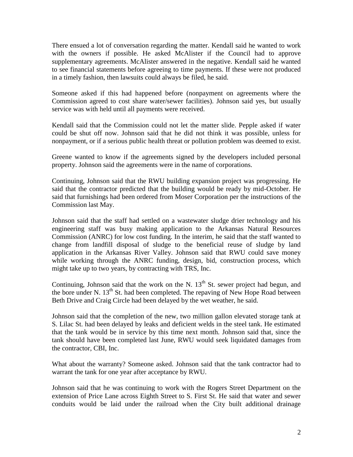There ensued a lot of conversation regarding the matter. Kendall said he wanted to work with the owners if possible. He asked McAlister if the Council had to approve supplementary agreements. McAlister answered in the negative. Kendall said he wanted to see financial statements before agreeing to time payments. If these were not produced in a timely fashion, then lawsuits could always be filed, he said.

Someone asked if this had happened before (nonpayment on agreements where the Commission agreed to cost share water/sewer facilities). Johnson said yes, but usually service was with held until all payments were received.

Kendall said that the Commission could not let the matter slide. Pepple asked if water could be shut off now. Johnson said that he did not think it was possible, unless for nonpayment, or if a serious public health threat or pollution problem was deemed to exist.

Greene wanted to know if the agreements signed by the developers included personal property. Johnson said the agreements were in the name of corporations.

Continuing, Johnson said that the RWU building expansion project was progressing. He said that the contractor predicted that the building would be ready by mid-October. He said that furnishings had been ordered from Moser Corporation per the instructions of the Commission last May.

Johnson said that the staff had settled on a wastewater sludge drier technology and his engineering staff was busy making application to the Arkansas Natural Resources Commission (ANRC) for low cost funding. In the interim, he said that the staff wanted to change from landfill disposal of sludge to the beneficial reuse of sludge by land application in the Arkansas River Valley. Johnson said that RWU could save money while working through the ANRC funding, design, bid, construction process, which might take up to two years, by contracting with TRS, Inc.

Continuing, Johnson said that the work on the N.  $13<sup>th</sup>$  St. sewer project had begun, and the bore under N. 13<sup>th</sup> St. had been completed. The repaving of New Hope Road between Beth Drive and Craig Circle had been delayed by the wet weather, he said.

Johnson said that the completion of the new, two million gallon elevated storage tank at S. Lilac St. had been delayed by leaks and deficient welds in the steel tank. He estimated that the tank would be in service by this time next month. Johnson said that, since the tank should have been completed last June, RWU would seek liquidated damages from the contractor, CBI, Inc.

What about the warranty? Someone asked. Johnson said that the tank contractor had to warrant the tank for one year after acceptance by RWU.

Johnson said that he was continuing to work with the Rogers Street Department on the extension of Price Lane across Eighth Street to S. First St. He said that water and sewer conduits would be laid under the railroad when the City built additional drainage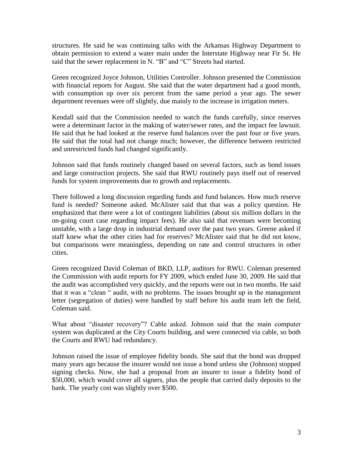structures. He said he was continuing talks with the Arkansas Highway Department to obtain permission to extend a water main under the Interstate Highway near Fir St. He said that the sewer replacement in N. "B" and "C" Streets had started.

Green recognized Joyce Johnson, Utilities Controller. Johnson presented the Commission with financial reports for August. She said that the water department had a good month, with consumption up over six percent from the same period a year ago. The sewer department revenues were off slightly, due mainly to the increase in irrigation meters.

Kendall said that the Commission needed to watch the funds carefully, since reserves were a determinant factor in the making of water/sewer rates, and the impact fee lawsuit. He said that he had looked at the reserve fund balances over the past four or five years. He said that the total had not change much; however, the difference between restricted and unrestricted funds had changed significantly.

Johnson said that funds routinely changed based on several factors, such as bond issues and large construction projects. She said that RWU routinely pays itself out of reserved funds for system improvements due to growth and replacements.

There followed a long discussion regarding funds and fund balances. How much reserve fund is needed? Someone asked. McAlister said that that was a policy question. He emphasized that there were a lot of contingent liabilities (about six million dollars in the on-going court case regarding impact fees). He also said that revenues were becoming unstable, with a large drop in industrial demand over the past two years. Greene asked if staff knew what the other cities had for reserves? McAlister said that he did not know, but comparisons were meaningless, depending on rate and control structures in other cities.

Green recognized David Coleman of BKD, LLP, auditors for RWU. Coleman presented the Commission with audit reports for FY 2009, which ended June 30, 2009. He said that the audit was accomplished very quickly, and the reports were out in two months. He said that it was a "clean " audit, with no problems. The issues brought up in the management letter (segregation of duties) were handled by staff before his audit team left the field, Coleman said.

What about "disaster recovery"? Cable asked. Johnson said that the main computer system was duplicated at the City Courts building, and were connected via cable, so both the Courts and RWU had redundancy.

Johnson raised the issue of employee fidelity bonds. She said that the bond was dropped many years ago because the insurer would not issue a bond unless she (Johnson) stopped signing checks. Now, she had a proposal from an insurer to issue a fidelity bond of \$50,000, which would cover all signers, plus the people that carried daily deposits to the bank. The yearly cost was slightly over \$500.